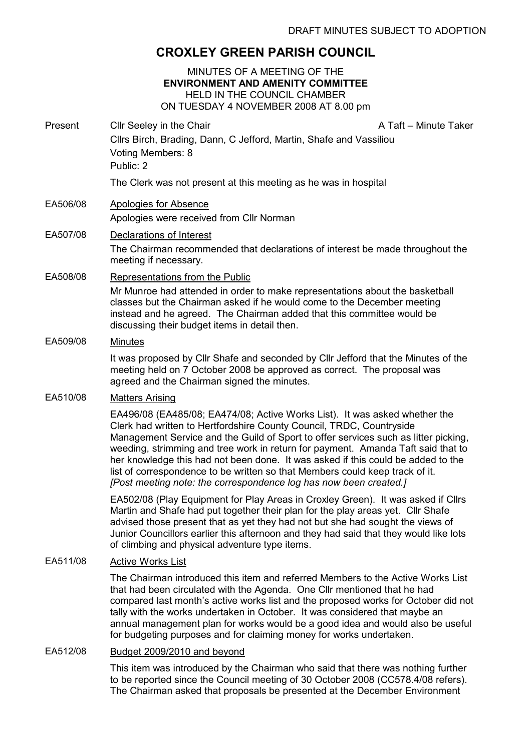# CROXLEY GREEN PARISH COUNCIL

#### MINUTES OF A MEETING OF THE ENVIRONMENT AND AMENITY COMMITTEE HELD IN THE COUNCIL CHAMBER ON TUESDAY 4 NOVEMBER 2008 AT 8.00 pm

Present Cllr Seeley in the Chair A Taft – Minute Taker Cllrs Birch, Brading, Dann, C Jefford, Martin, Shafe and Vassiliou Voting Members: 8 Public: 2

The Clerk was not present at this meeting as he was in hospital

## EA506/08 Apologies for Absence

Apologies were received from Cllr Norman

## EA507/08 Declarations of Interest

The Chairman recommended that declarations of interest be made throughout the meeting if necessary.

EA508/08 Representations from the Public

Mr Munroe had attended in order to make representations about the basketball classes but the Chairman asked if he would come to the December meeting instead and he agreed. The Chairman added that this committee would be discussing their budget items in detail then.

#### EA509/08 Minutes

It was proposed by Cllr Shafe and seconded by Cllr Jefford that the Minutes of the meeting held on 7 October 2008 be approved as correct. The proposal was agreed and the Chairman signed the minutes.

## EA510/08 Matters Arising

EA496/08 (EA485/08; EA474/08; Active Works List). It was asked whether the Clerk had written to Hertfordshire County Council, TRDC, Countryside Management Service and the Guild of Sport to offer services such as litter picking, weeding, strimming and tree work in return for payment. Amanda Taft said that to her knowledge this had not been done. It was asked if this could be added to the list of correspondence to be written so that Members could keep track of it. [Post meeting note: the correspondence log has now been created.]

EA502/08 (Play Equipment for Play Areas in Croxley Green). It was asked if Cllrs Martin and Shafe had put together their plan for the play areas yet. Cllr Shafe advised those present that as yet they had not but she had sought the views of Junior Councillors earlier this afternoon and they had said that they would like lots of climbing and physical adventure type items.

## EA511/08 Active Works List

The Chairman introduced this item and referred Members to the Active Works List that had been circulated with the Agenda. One Cllr mentioned that he had compared last month's active works list and the proposed works for October did not tally with the works undertaken in October. It was considered that maybe an annual management plan for works would be a good idea and would also be useful for budgeting purposes and for claiming money for works undertaken.

## EA512/08 Budget 2009/2010 and beyond

This item was introduced by the Chairman who said that there was nothing further to be reported since the Council meeting of 30 October 2008 (CC578.4/08 refers). The Chairman asked that proposals be presented at the December Environment